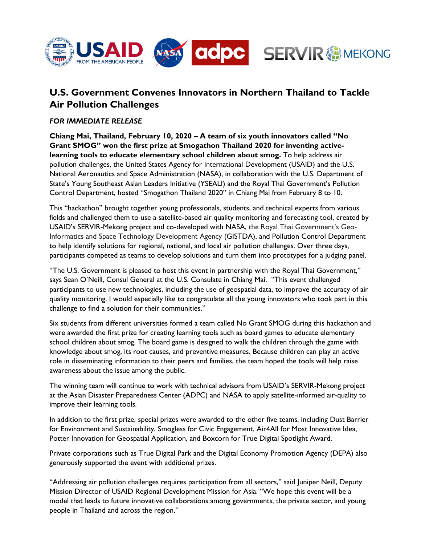

# **U.S. Government Convenes Innovators in Northern Thailand to Tackle Air Pollution Challenges**

## *FOR IMMEDIATE RELEASE*

**Chiang Mai, Thailand, February 10, 2020 – A team of six youth innovators called "No Grant SMOG" won the first prize at Smogathon Thailand 2020 for inventing activelearning tools to educate elementary school children about smog.** To help address air pollution challenges, the United States Agency for International Development (USAID) and the U.S. National Aeronautics and Space Administration (NASA), in collaboration with the U.S. Department of State's Young Southeast Asian Leaders Initiative (YSEALI) and the Royal Thai Government's Pollution Control Department, hosted "Smogathon Thailand 2020" in Chiang Mai from February 8 to 10.

This "hackathon" brought together young professionals, students, and technical experts from various fields and challenged them to use a satellite-based air quality monitoring and forecasting tool, created by USAID's SERVIR-Mekong project and co-developed with NASA, the Royal Thai Government's Geo-Informatics and Space Technology Development Agency (GISTDA), and Pollution Control Department to help identify solutions for regional, national, and local air pollution challenges. Over three days, participants competed as teams to develop solutions and turn them into prototypes for a judging panel.

"The U.S. Government is pleased to host this event in partnership with the Royal Thai Government," says Sean O'Neill, Consul General at the U.S. Consulate in Chiang Mai. "This event challenged participants to use new technologies, including the use of geospatial data, to improve the accuracy of air quality monitoring. I would especially like to congratulate all the young innovators who took part in this challenge to find a solution for their communities."

Six students from different universities formed a team called No Grant SMOG during this hackathon and were awarded the first prize for creating learning tools such as board games to educate elementary school children about smog. The board game is designed to walk the children through the game with knowledge about smog, its root causes, and preventive measures. Because children can play an active role in disseminating information to their peers and families, the team hoped the tools will help raise awareness about the issue among the public.

The winning team will continue to work with technical advisors from USAID's SERVIR-Mekong project at the Asian Disaster Preparedness Center (ADPC) and NASA to apply satellite-informed air-quality to improve their learning tools.

In addition to the first prize, special prizes were awarded to the other five teams, including Dust Barrier for Environment and Sustainability, Smogless for Civic Engagement, Air4All for Most Innovative Idea, Potter Innovation for Geospatial Application, and Boxcorn for True Digital Spotlight Award.

Private corporations such as True Digital Park and the Digital Economy Promotion Agency (DEPA) also generously supported the event with additional prizes.

"Addressing air pollution challenges requires participation from all sectors," said Juniper Neill, Deputy Mission Director of USAID Regional Development Mission for Asia. "We hope this event will be a model that leads to future innovative collaborations among governments, the private sector, and young people in Thailand and across the region."